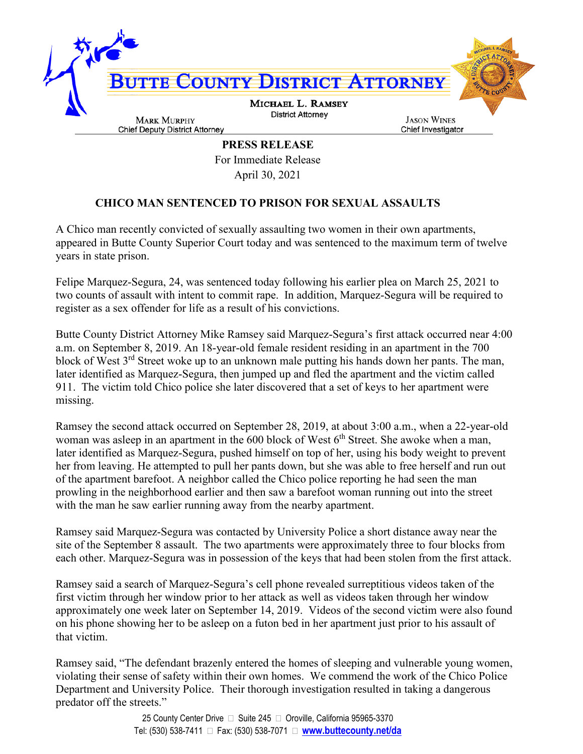

**PRESS RELEASE** For Immediate Release April 30, 2021

## **CHICO MAN SENTENCED TO PRISON FOR SEXUAL ASSAULTS**

A Chico man recently convicted of sexually assaulting two women in their own apartments, appeared in Butte County Superior Court today and was sentenced to the maximum term of twelve years in state prison.

Felipe Marquez-Segura, 24, was sentenced today following his earlier plea on March 25, 2021 to two counts of assault with intent to commit rape. In addition, Marquez-Segura will be required to register as a sex offender for life as a result of his convictions.

Butte County District Attorney Mike Ramsey said Marquez-Segura's first attack occurred near 4:00 a.m. on September 8, 2019. An 18-year-old female resident residing in an apartment in the 700 block of West 3<sup>rd</sup> Street woke up to an unknown male putting his hands down her pants. The man, later identified as Marquez-Segura, then jumped up and fled the apartment and the victim called 911. The victim told Chico police she later discovered that a set of keys to her apartment were missing.

Ramsey the second attack occurred on September 28, 2019, at about 3:00 a.m., when a 22-year-old woman was asleep in an apartment in the  $600$  block of West  $6<sup>th</sup>$  Street. She awoke when a man, later identified as Marquez-Segura, pushed himself on top of her, using his body weight to prevent her from leaving. He attempted to pull her pants down, but she was able to free herself and run out of the apartment barefoot. A neighbor called the Chico police reporting he had seen the man prowling in the neighborhood earlier and then saw a barefoot woman running out into the street with the man he saw earlier running away from the nearby apartment.

Ramsey said Marquez-Segura was contacted by University Police a short distance away near the site of the September 8 assault. The two apartments were approximately three to four blocks from each other. Marquez-Segura was in possession of the keys that had been stolen from the first attack.

Ramsey said a search of Marquez-Segura's cell phone revealed surreptitious videos taken of the first victim through her window prior to her attack as well as videos taken through her window approximately one week later on September 14, 2019. Videos of the second victim were also found on his phone showing her to be asleep on a futon bed in her apartment just prior to his assault of that victim.

Ramsey said, "The defendant brazenly entered the homes of sleeping and vulnerable young women, violating their sense of safety within their own homes. We commend the work of the Chico Police Department and University Police. Their thorough investigation resulted in taking a dangerous predator off the streets."

> 25 County Center Drive  $\Box$  Suite 245  $\Box$  Oroville, California 95965-3370 Tel: (530) 538-7411 Fax: (530) 538-7071 **www.buttecounty.net/da**